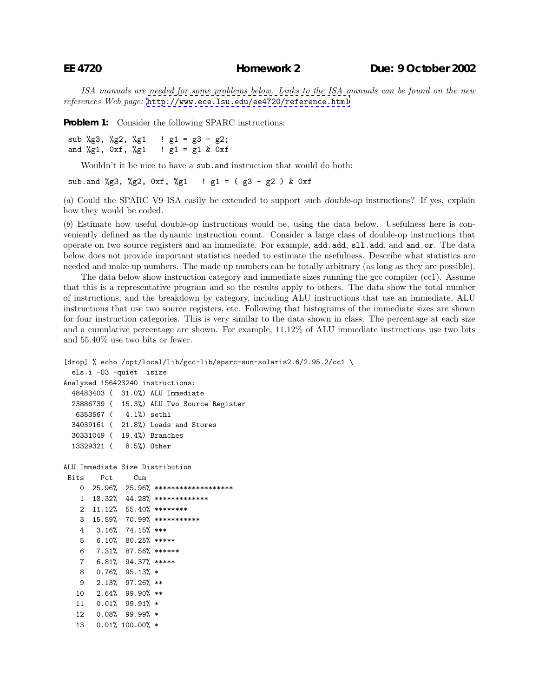*ISA manuals are needed for some problems below. Links to the ISA manuals can be found on the new references Web page:* <http://www.ece.lsu.edu/ee4720/reference.html>

**Problem 1:** Consider the following SPARC instructions:

sub %g3, %g2, %g1  $:$   $g1 = g3 - g2$ ; and  $\lg 1$ ,  $0 \times f$ ,  $\lg 1$  !  $g1 = g1$  &  $0 \times f$ 

Wouldn't it be nice to have a sub.and instruction that would do both:

sub.and %g3, %g2, 0xf, %g1 ! g1 = (g3 - g2) & 0xf

(*a*) Could the SPARC V9 ISA easily be extended to support such *double-op* instructions? If yes, explain how they would be coded.

(*b*) Estimate how useful double-op instructions would be, using the data below. Usefulness here is conveniently defined as the dynamic instruction count. Consider a large class of double-op instructions that operate on two source registers and an immediate. For example, add.add, sll.add, and and.or. The data below does not provide important statistics needed to estimate the usefulness. Describe what statistics are needed and make up numbers. The made up numbers can be totally arbitrary (as long as they are possible).

The data below show instruction category and immediate sizes running the gcc compiler (cc1). Assume that this is a representative program and so the results apply to others. The data show the total number of instructions, and the breakdown by category, including ALU instructions that use an immediate, ALU instructions that use two source registers, etc. Following that histograms of the immediate sizes are shown for four instruction categories. This is very similar to the data shown in class. The percentage at each size and a cumulative percentage are shown. For example, 11.12% of ALU immediate instructions use two bits and 55.40% use two bits or fewer.

```
[drop] % echo /opt/local/lib/gcc-lib/sparc-sun-solaris2.6/2.95.2/cc1 \
 els.i -O3 -quiet isize
Analyzed 156423240 instructions:
 48483403 ( 31.0%) ALU Immediate
 23886739 ( 15.3%) ALU Two Source Register
  6353567 ( 4.1%) sethi
 34039161 ( 21.8%) Loads and Stores
 30331049 ( 19.4%) Branches
 13329321 ( 8.5%) Other
ALU Immediate Size Distribution
Bits Pct Cum
   0 25.96% 25.96% *******************
   1 18.32% 44.28% *************
   2 11.12% 55.40% ********
   3 15.59% 70.99% ***********
   4 3.16% 74.15% ***
   5 6.10% 80.25% *****
   6 7.31% 87.56% ******
   7 6.81% 94.37% *****
   8 0.76% 95.13% *
   9 2.13% 97.26% **
  10 2.64% 99.90% **
  11 0.01% 99.91% *
  12 0.08% 99.99% *
  13 0.01% 100.00% *
```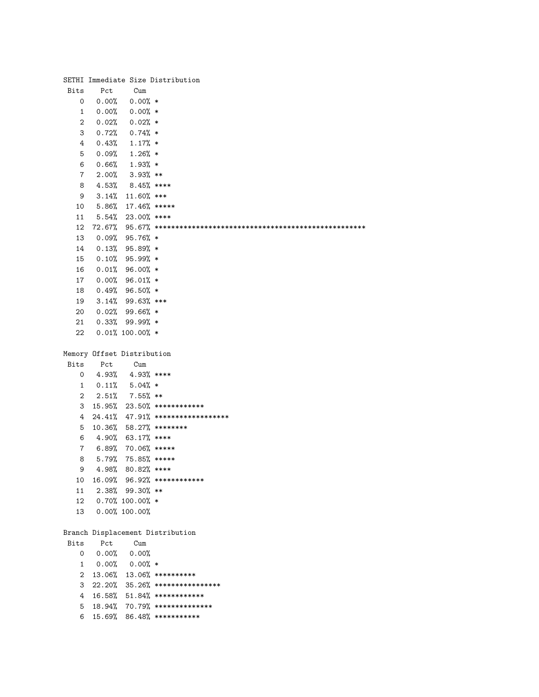|                |                            |                        | SETHI Immediate Size Distribution                               |
|----------------|----------------------------|------------------------|-----------------------------------------------------------------|
| Bits           | Pct                        | Cum                    |                                                                 |
| 0              | 0.00%                      | $0.00%$ *              |                                                                 |
| $\mathbf{1}$   |                            | $0.00\%$ 0.00% *       |                                                                 |
| 2              |                            | $0.02\%$ 0.02% *       |                                                                 |
| 3              |                            | $0.72\%$ 0.74% *       |                                                                 |
| 4              |                            | $0.43\%$ 1.17% *       |                                                                 |
| 5              |                            | $0.09%$ 1.26% *        |                                                                 |
| 6              |                            | $0.66\%$ 1.93% *       |                                                                 |
| $\overline{7}$ |                            | $2.00\%$ 3.93% **      |                                                                 |
| 8              |                            | 4.53% 8.45% ****       |                                                                 |
| 9              |                            | $3.14\%$ 11.60% ***    |                                                                 |
| 10             |                            | $5.86\%$ 17.46% *****  |                                                                 |
| 11             |                            | $5.54\%$ 23.00% ****   |                                                                 |
| 12             |                            |                        |                                                                 |
| 13             |                            | $0.09%$ 95.76% *       |                                                                 |
| 14             |                            | $0.13%$ 95.89% *       |                                                                 |
| 15             |                            | $0.10\%$ 95.99% *      |                                                                 |
| 16             |                            | $0.01\%$ 96.00% *      |                                                                 |
| 17             |                            | $0.00\%$ 96.01% *      |                                                                 |
| 18             |                            | $0.49%$ 96.50% *       |                                                                 |
| 19             |                            | $3.14\%$ 99.63% ***    |                                                                 |
| 20             |                            | $0.02%$ 99.66% *       |                                                                 |
| 21             |                            | $0.33\%$ 99.99% *      |                                                                 |
| 22             |                            | $0.01\%$ 100.00% *     |                                                                 |
|                |                            |                        |                                                                 |
|                | Memory Offset Distribution |                        |                                                                 |
| Bits           | Pct                        | Cum                    |                                                                 |
| 0              |                            | $4.93\%$ $4.93\%$ **** |                                                                 |
| 1              |                            | $0.11\%$ 5.04% *       |                                                                 |
| 2              |                            | $2.51\%$ 7.55% **      |                                                                 |
| 3              |                            |                        | 15.95% 23.50% *************                                     |
| 4              |                            |                        | $24.41\%$ $47.91\%$ *******************                         |
|                |                            |                        | 10.36% 58.27% ********                                          |
| 5<br>6         | 4.90%                      | $63.17%$ ****          |                                                                 |
| 7              | 6.89%                      | 70.06% *****           |                                                                 |
| 8              | 5.79%                      | 75.85% *****           |                                                                 |
| 9              |                            | 4.98% 80.82% ****      |                                                                 |
| 10             |                            |                        | 16.09% 96.92% *************                                     |
| 11             |                            | $2.38\%$ 99.30% **     |                                                                 |
| 12             |                            | $0.70\%$ 100.00% *     |                                                                 |
| 13             |                            | $0.00\%$ 100.00%       |                                                                 |
|                |                            |                        |                                                                 |
|                |                            |                        | Branch Displacement Distribution                                |
| Bits           | Pct                        | Cum                    |                                                                 |
| 0              | 0.00%                      | 0.00%                  |                                                                 |
|                | $0.00\%$ 0.00% *           |                        |                                                                 |
| 1              |                            |                        | 13.06% 13.06% **********                                        |
| 2              |                            |                        |                                                                 |
| 3              |                            |                        | $22.20\%$ 35.26% *****************                              |
| 4              |                            |                        | $16.58\%$ 51.84% *************<br>18.94% 70.79% *************** |
| 5              |                            |                        |                                                                 |
| 6              |                            |                        | 15.69% 86.48% ***********                                       |